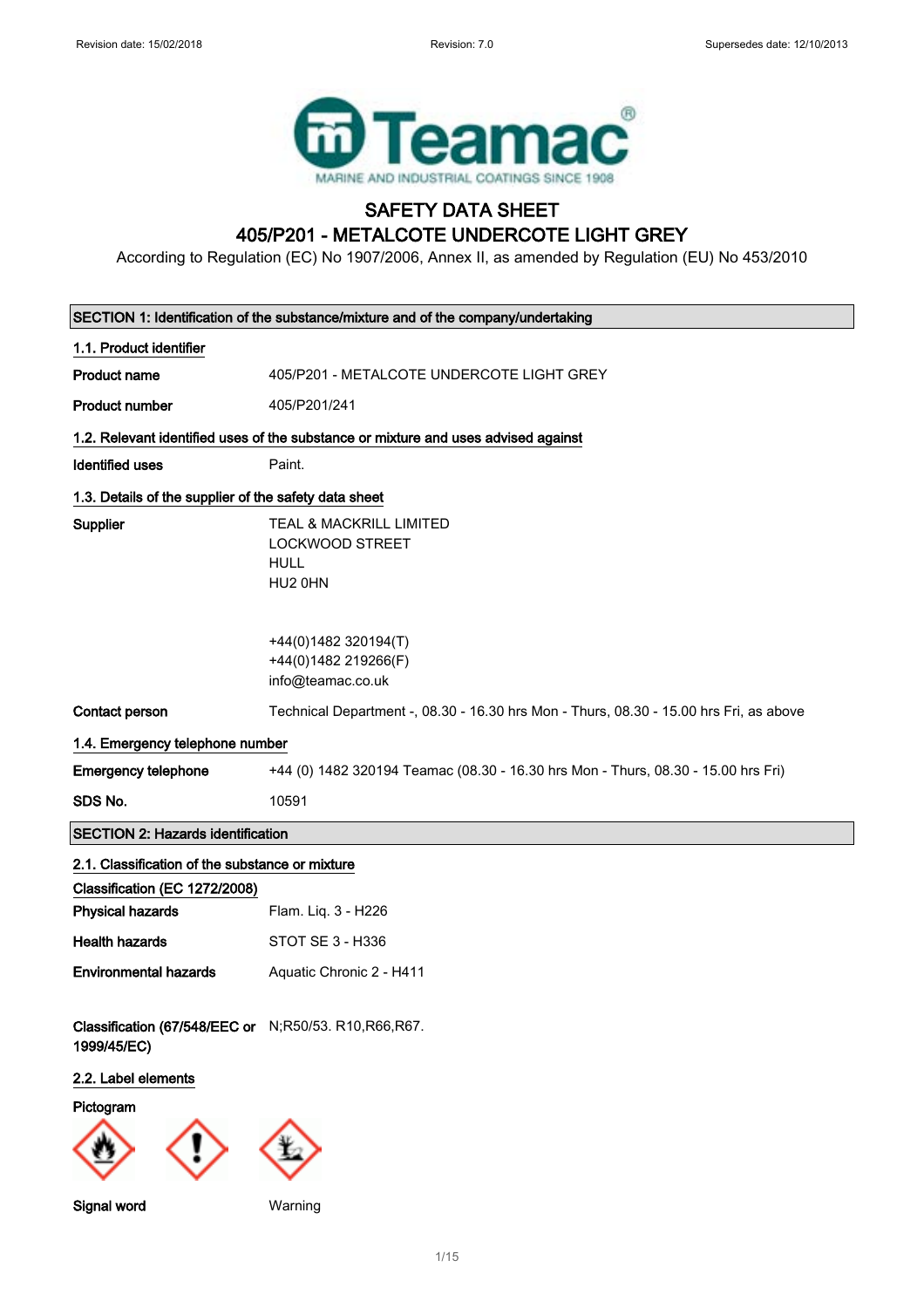

# SAFETY DATA SHEET 405/P201 - METALCOTE UNDERCOTE LIGHT GREY

According to Regulation (EC) No 1907/2006, Annex II, as amended by Regulation (EU) No 453/2010

|                                                                     | SECTION 1: Identification of the substance/mixture and of the company/undertaking      |  |  |
|---------------------------------------------------------------------|----------------------------------------------------------------------------------------|--|--|
| 1.1. Product identifier                                             |                                                                                        |  |  |
| <b>Product name</b>                                                 | 405/P201 - METALCOTE UNDERCOTE LIGHT GREY                                              |  |  |
| <b>Product number</b>                                               | 405/P201/241                                                                           |  |  |
|                                                                     | 1.2. Relevant identified uses of the substance or mixture and uses advised against     |  |  |
| <b>Identified uses</b>                                              | Paint.                                                                                 |  |  |
| 1.3. Details of the supplier of the safety data sheet               |                                                                                        |  |  |
| Supplier                                                            | TEAL & MACKRILL LIMITED<br><b>LOCKWOOD STREET</b><br><b>HULL</b><br>HU2 0HN            |  |  |
|                                                                     | +44(0)1482 320194(T)<br>+44(0)1482 219266(F)<br>info@teamac.co.uk                      |  |  |
| <b>Contact person</b>                                               | Technical Department -, 08.30 - 16.30 hrs Mon - Thurs, 08.30 - 15.00 hrs Fri, as above |  |  |
| 1.4. Emergency telephone number                                     |                                                                                        |  |  |
| <b>Emergency telephone</b>                                          | +44 (0) 1482 320194 Teamac (08.30 - 16.30 hrs Mon - Thurs, 08.30 - 15.00 hrs Fri)      |  |  |
| SDS No.                                                             | 10591                                                                                  |  |  |
|                                                                     |                                                                                        |  |  |
| <b>SECTION 2: Hazards identification</b>                            |                                                                                        |  |  |
| 2.1. Classification of the substance or mixture                     |                                                                                        |  |  |
| Classification (EC 1272/2008)                                       |                                                                                        |  |  |
| <b>Physical hazards</b>                                             | Flam. Liq. 3 - H226                                                                    |  |  |
| <b>Health hazards</b>                                               | STOT SE 3 - H336                                                                       |  |  |
| <b>Environmental hazards</b>                                        | Aquatic Chronic 2 - H411                                                               |  |  |
| Classification (67/548/EEC or N;R50/53. R10,R66,R67.<br>1999/45/EC) |                                                                                        |  |  |
| 2.2. Label elements                                                 |                                                                                        |  |  |
| Pictogram                                                           |                                                                                        |  |  |
|                                                                     |                                                                                        |  |  |
| Signal word                                                         | Warning                                                                                |  |  |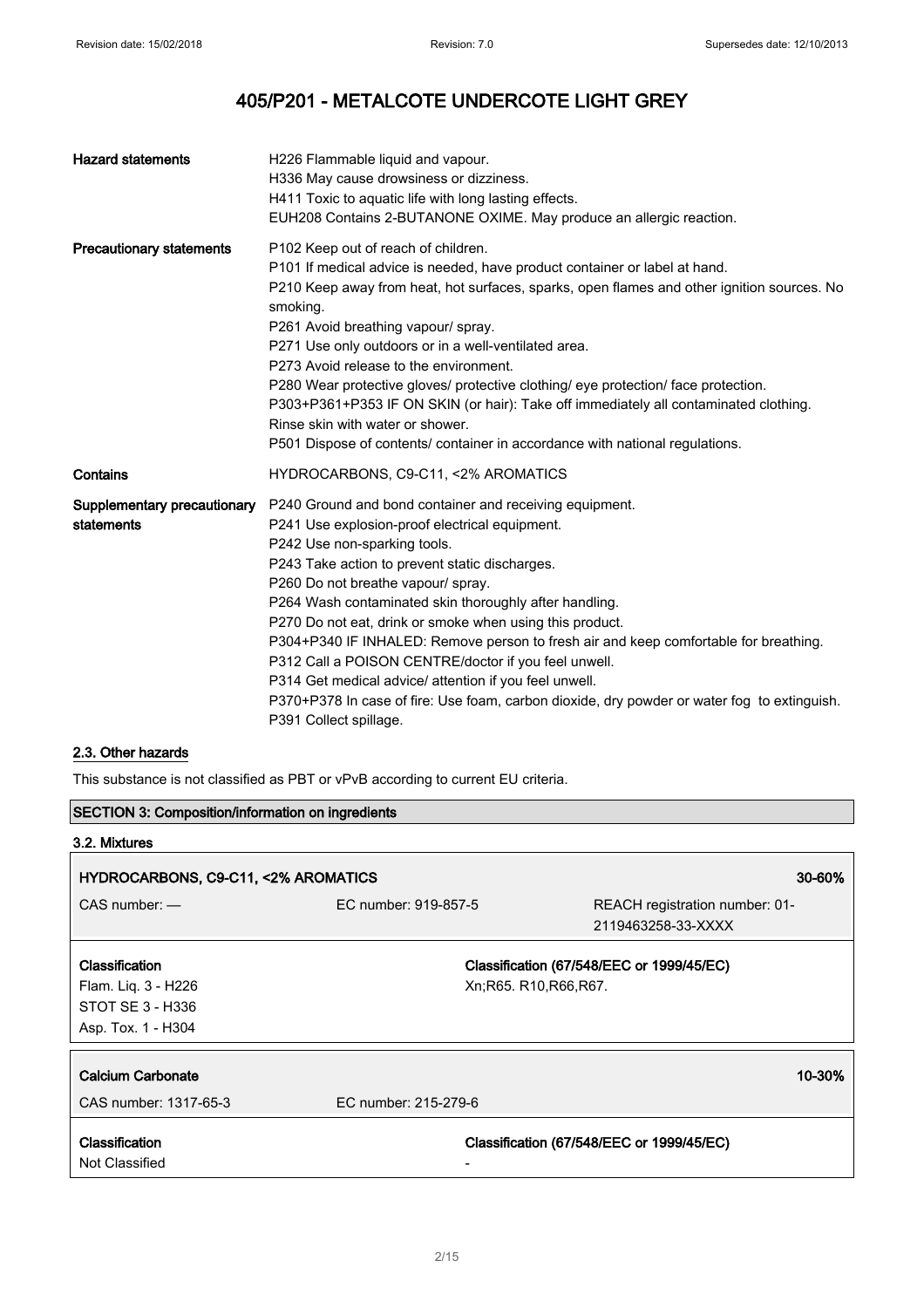| <b>Hazard statements</b>                  | H226 Flammable liquid and vapour.<br>H336 May cause drowsiness or dizziness.<br>H411 Toxic to aquatic life with long lasting effects.<br>EUH208 Contains 2-BUTANONE OXIME. May produce an allergic reaction.                                                                                                                                                                                                                                                                                                                                                                                                                                                                               |
|-------------------------------------------|--------------------------------------------------------------------------------------------------------------------------------------------------------------------------------------------------------------------------------------------------------------------------------------------------------------------------------------------------------------------------------------------------------------------------------------------------------------------------------------------------------------------------------------------------------------------------------------------------------------------------------------------------------------------------------------------|
| <b>Precautionary statements</b>           | P102 Keep out of reach of children.<br>P101 If medical advice is needed, have product container or label at hand.<br>P210 Keep away from heat, hot surfaces, sparks, open flames and other ignition sources. No<br>smoking.<br>P261 Avoid breathing vapour/ spray.<br>P271 Use only outdoors or in a well-ventilated area.<br>P273 Avoid release to the environment.<br>P280 Wear protective gloves/ protective clothing/ eye protection/ face protection.<br>P303+P361+P353 IF ON SKIN (or hair): Take off immediately all contaminated clothing.<br>Rinse skin with water or shower.<br>P501 Dispose of contents/ container in accordance with national regulations.                     |
| Contains                                  | HYDROCARBONS, C9-C11, <2% AROMATICS                                                                                                                                                                                                                                                                                                                                                                                                                                                                                                                                                                                                                                                        |
| Supplementary precautionary<br>statements | P240 Ground and bond container and receiving equipment.<br>P241 Use explosion-proof electrical equipment.<br>P242 Use non-sparking tools.<br>P243 Take action to prevent static discharges.<br>P260 Do not breathe vapour/ spray.<br>P264 Wash contaminated skin thoroughly after handling.<br>P270 Do not eat, drink or smoke when using this product.<br>P304+P340 IF INHALED: Remove person to fresh air and keep comfortable for breathing.<br>P312 Call a POISON CENTRE/doctor if you feel unwell.<br>P314 Get medical advice/ attention if you feel unwell.<br>P370+P378 In case of fire: Use foam, carbon dioxide, dry powder or water fog to extinguish.<br>P391 Collect spillage. |

### 2.3. Other hazards

This substance is not classified as PBT or vPvB according to current EU criteria.

## SECTION 3: Composition/information on ingredients

| 3.2. Mixtures                                                                   |                      |                                                                      |
|---------------------------------------------------------------------------------|----------------------|----------------------------------------------------------------------|
| HYDROCARBONS, C9-C11, <2% AROMATICS<br>$30 - 60\%$                              |                      |                                                                      |
| $CAS$ number: $-$                                                               | EC number: 919-857-5 | REACH registration number: 01-<br>2119463258-33-XXXX                 |
| Classification<br>Flam. Lig. 3 - H226<br>STOT SE 3 - H336<br>Asp. Tox. 1 - H304 |                      | Classification (67/548/EEC or 1999/45/EC)<br>Xn; R65. R10, R66, R67. |
| Calcium Carbonate<br>CAS number: 1317-65-3                                      | EC number: 215-279-6 | 10-30%                                                               |
| Classification<br>Not Classified                                                |                      | Classification (67/548/EEC or 1999/45/EC)                            |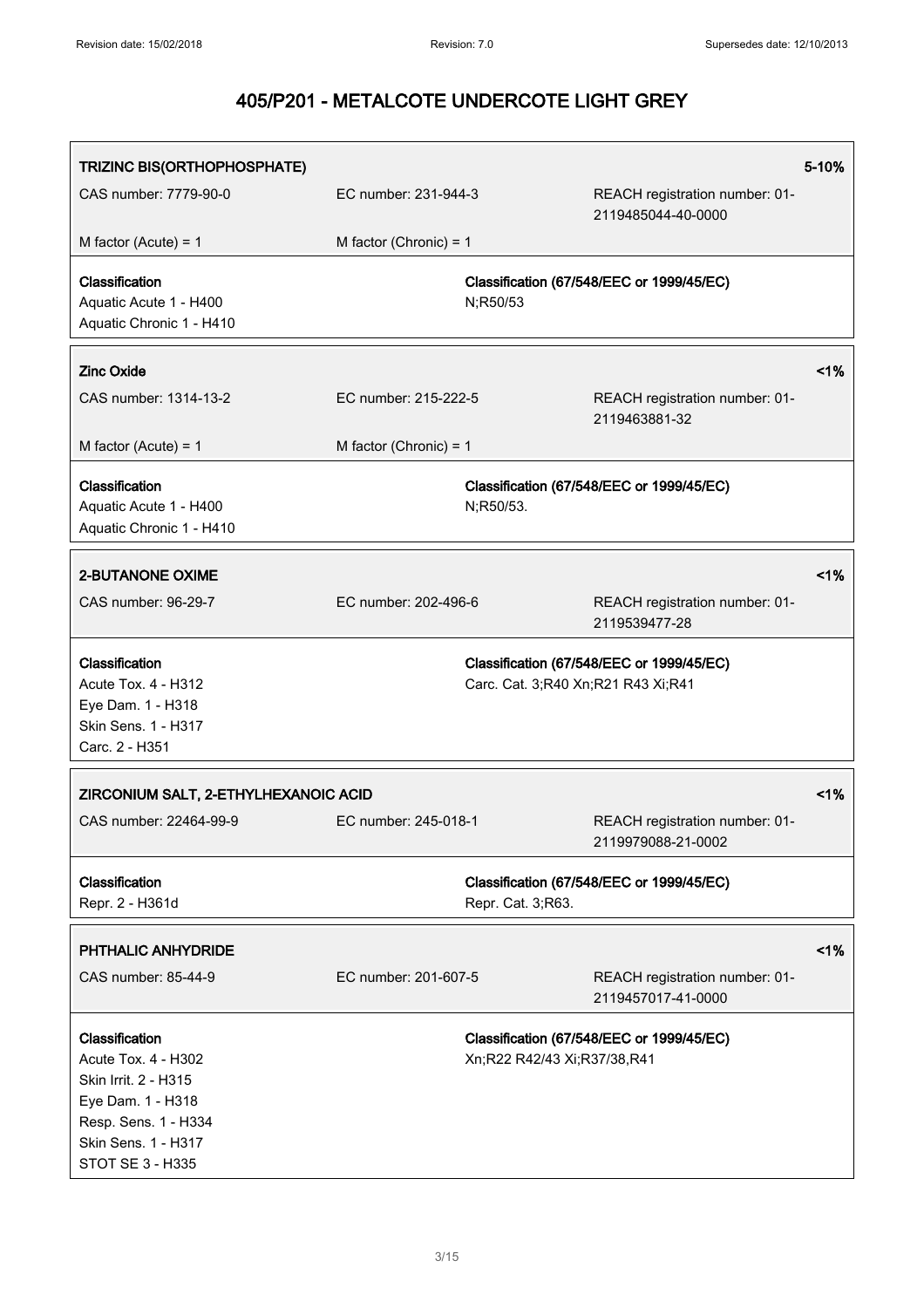| TRIZINC BIS(ORTHOPHOSPHATE)                                                                                                                           |                          |                                    |                                                      | 5-10% |
|-------------------------------------------------------------------------------------------------------------------------------------------------------|--------------------------|------------------------------------|------------------------------------------------------|-------|
| CAS number: 7779-90-0                                                                                                                                 | EC number: 231-944-3     |                                    | REACH registration number: 01-<br>2119485044-40-0000 |       |
| M factor (Acute) = $1$                                                                                                                                | M factor (Chronic) = $1$ |                                    |                                                      |       |
| Classification<br>Aquatic Acute 1 - H400<br>Aquatic Chronic 1 - H410                                                                                  |                          | N;R50/53                           | Classification (67/548/EEC or 1999/45/EC)            |       |
| <b>Zinc Oxide</b>                                                                                                                                     |                          |                                    |                                                      | 1%    |
| CAS number: 1314-13-2                                                                                                                                 | EC number: 215-222-5     |                                    | REACH registration number: 01-<br>2119463881-32      |       |
| M factor (Acute) = $1$                                                                                                                                | M factor (Chronic) = $1$ |                                    |                                                      |       |
| Classification<br>Aquatic Acute 1 - H400<br>Aquatic Chronic 1 - H410                                                                                  |                          | N;R50/53.                          | Classification (67/548/EEC or 1999/45/EC)            |       |
| <b>2-BUTANONE OXIME</b>                                                                                                                               |                          |                                    |                                                      | 1%    |
| CAS number: 96-29-7                                                                                                                                   | EC number: 202-496-6     |                                    | REACH registration number: 01-<br>2119539477-28      |       |
| Classification<br>Acute Tox. 4 - H312<br>Eye Dam. 1 - H318<br>Skin Sens. 1 - H317<br>Carc. 2 - H351                                                   |                          | Carc. Cat. 3;R40 Xn;R21 R43 Xi;R41 | Classification (67/548/EEC or 1999/45/EC)            |       |
| ZIRCONIUM SALT, 2-ETHYLHEXANOIC ACID                                                                                                                  |                          |                                    |                                                      | 1%    |
| CAS number: 22464-99-9                                                                                                                                | EC number: 245-018-1     |                                    | REACH registration number: 01-<br>2119979088-21-0002 |       |
| Classification<br>Repr. 2 - H361d                                                                                                                     |                          | Repr. Cat. 3;R63.                  | Classification (67/548/EEC or 1999/45/EC)            |       |
| PHTHALIC ANHYDRIDE                                                                                                                                    |                          |                                    |                                                      | 1%    |
| CAS number: 85-44-9                                                                                                                                   | EC number: 201-607-5     |                                    | REACH registration number: 01-<br>2119457017-41-0000 |       |
| Classification<br>Acute Tox. 4 - H302<br>Skin Irrit. 2 - H315<br>Eye Dam. 1 - H318<br>Resp. Sens. 1 - H334<br>Skin Sens. 1 - H317<br>STOT SE 3 - H335 |                          | Xn;R22 R42/43 Xi;R37/38,R41        | Classification (67/548/EEC or 1999/45/EC)            |       |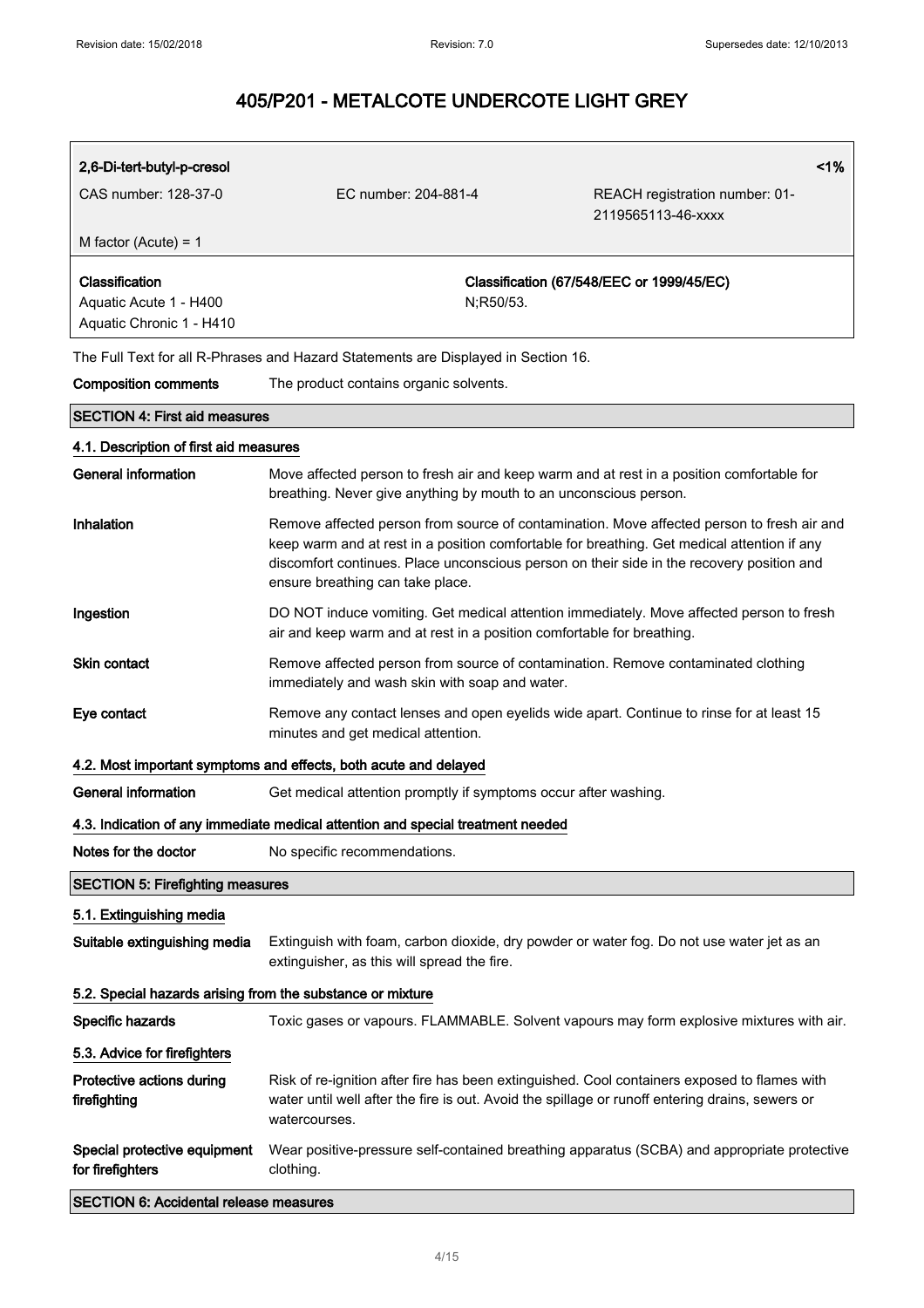| 2,6-Di-tert-butyl-p-cresol                                 |                                                                                    | 1%                                                                                                                                                                                                                                                                                     |
|------------------------------------------------------------|------------------------------------------------------------------------------------|----------------------------------------------------------------------------------------------------------------------------------------------------------------------------------------------------------------------------------------------------------------------------------------|
| CAS number: 128-37-0                                       | EC number: 204-881-4                                                               | REACH registration number: 01-                                                                                                                                                                                                                                                         |
| M factor (Acute) = $1$                                     |                                                                                    | 2119565113-46-xxxx                                                                                                                                                                                                                                                                     |
|                                                            |                                                                                    |                                                                                                                                                                                                                                                                                        |
| Classification                                             |                                                                                    | Classification (67/548/EEC or 1999/45/EC)                                                                                                                                                                                                                                              |
| Aquatic Acute 1 - H400<br>Aquatic Chronic 1 - H410         | N;R50/53.                                                                          |                                                                                                                                                                                                                                                                                        |
|                                                            |                                                                                    |                                                                                                                                                                                                                                                                                        |
|                                                            | The Full Text for all R-Phrases and Hazard Statements are Displayed in Section 16. |                                                                                                                                                                                                                                                                                        |
| <b>Composition comments</b>                                | The product contains organic solvents.                                             |                                                                                                                                                                                                                                                                                        |
| <b>SECTION 4: First aid measures</b>                       |                                                                                    |                                                                                                                                                                                                                                                                                        |
| 4.1. Description of first aid measures                     |                                                                                    |                                                                                                                                                                                                                                                                                        |
| <b>General information</b>                                 | breathing. Never give anything by mouth to an unconscious person.                  | Move affected person to fresh air and keep warm and at rest in a position comfortable for                                                                                                                                                                                              |
| Inhalation                                                 | ensure breathing can take place.                                                   | Remove affected person from source of contamination. Move affected person to fresh air and<br>keep warm and at rest in a position comfortable for breathing. Get medical attention if any<br>discomfort continues. Place unconscious person on their side in the recovery position and |
| Ingestion                                                  | air and keep warm and at rest in a position comfortable for breathing.             | DO NOT induce vomiting. Get medical attention immediately. Move affected person to fresh                                                                                                                                                                                               |
| <b>Skin contact</b>                                        | immediately and wash skin with soap and water.                                     | Remove affected person from source of contamination. Remove contaminated clothing                                                                                                                                                                                                      |
| Eye contact                                                | minutes and get medical attention.                                                 | Remove any contact lenses and open eyelids wide apart. Continue to rinse for at least 15                                                                                                                                                                                               |
|                                                            | 4.2. Most important symptoms and effects, both acute and delayed                   |                                                                                                                                                                                                                                                                                        |
| <b>General information</b>                                 | Get medical attention promptly if symptoms occur after washing.                    |                                                                                                                                                                                                                                                                                        |
|                                                            | 4.3. Indication of any immediate medical attention and special treatment needed    |                                                                                                                                                                                                                                                                                        |
| Notes for the doctor                                       | No specific recommendations.                                                       |                                                                                                                                                                                                                                                                                        |
| <b>SECTION 5: Firefighting measures</b>                    |                                                                                    |                                                                                                                                                                                                                                                                                        |
| 5.1. Extinguishing media                                   |                                                                                    |                                                                                                                                                                                                                                                                                        |
| Suitable extinguishing media                               | extinguisher, as this will spread the fire.                                        | Extinguish with foam, carbon dioxide, dry powder or water fog. Do not use water jet as an                                                                                                                                                                                              |
| 5.2. Special hazards arising from the substance or mixture |                                                                                    |                                                                                                                                                                                                                                                                                        |
| Specific hazards                                           |                                                                                    | Toxic gases or vapours. FLAMMABLE. Solvent vapours may form explosive mixtures with air.                                                                                                                                                                                               |
| 5.3. Advice for firefighters                               |                                                                                    |                                                                                                                                                                                                                                                                                        |
| Protective actions during<br>firefighting                  | watercourses.                                                                      | Risk of re-ignition after fire has been extinguished. Cool containers exposed to flames with<br>water until well after the fire is out. Avoid the spillage or runoff entering drains, sewers or                                                                                        |
| Special protective equipment<br>for firefighters           | clothing.                                                                          | Wear positive-pressure self-contained breathing apparatus (SCBA) and appropriate protective                                                                                                                                                                                            |
| <b>SECTION 6: Accidental release measures</b>              |                                                                                    |                                                                                                                                                                                                                                                                                        |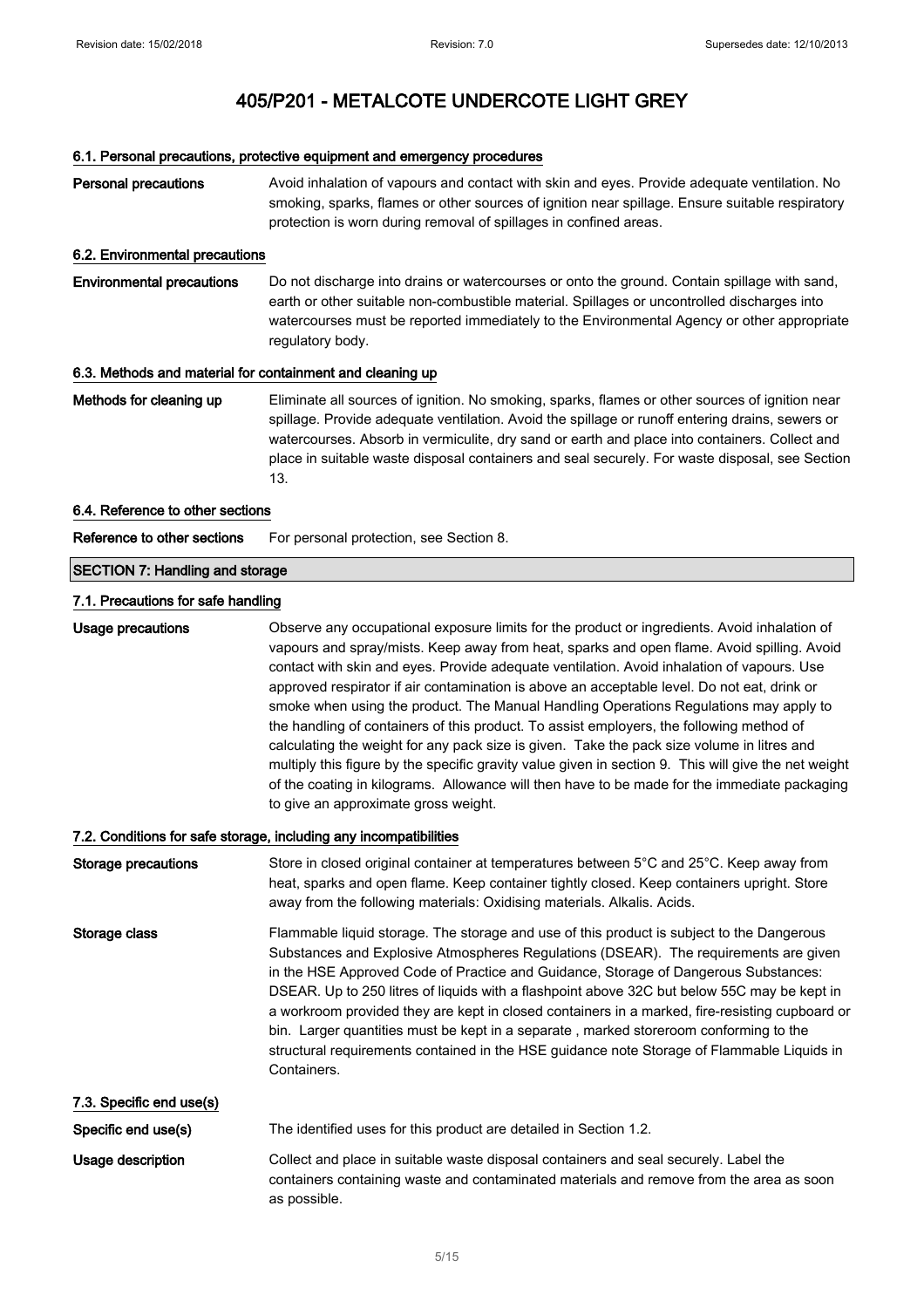## 6.1. Personal precautions, protective equipment and emergency procedures

| <b>Personal precautions</b>                               | Avoid inhalation of vapours and contact with skin and eyes. Provide adequate ventilation. No<br>smoking, sparks, flames or other sources of ignition near spillage. Ensure suitable respiratory<br>protection is worn during removal of spillages in confined areas.                                                                                                                                                                                                                                                                                                                                                                                                                                                                                                                                                                                                                                                       |
|-----------------------------------------------------------|----------------------------------------------------------------------------------------------------------------------------------------------------------------------------------------------------------------------------------------------------------------------------------------------------------------------------------------------------------------------------------------------------------------------------------------------------------------------------------------------------------------------------------------------------------------------------------------------------------------------------------------------------------------------------------------------------------------------------------------------------------------------------------------------------------------------------------------------------------------------------------------------------------------------------|
| 6.2. Environmental precautions                            |                                                                                                                                                                                                                                                                                                                                                                                                                                                                                                                                                                                                                                                                                                                                                                                                                                                                                                                            |
| <b>Environmental precautions</b>                          | Do not discharge into drains or watercourses or onto the ground. Contain spillage with sand,<br>earth or other suitable non-combustible material. Spillages or uncontrolled discharges into<br>watercourses must be reported immediately to the Environmental Agency or other appropriate<br>regulatory body.                                                                                                                                                                                                                                                                                                                                                                                                                                                                                                                                                                                                              |
| 6.3. Methods and material for containment and cleaning up |                                                                                                                                                                                                                                                                                                                                                                                                                                                                                                                                                                                                                                                                                                                                                                                                                                                                                                                            |
| Methods for cleaning up                                   | Eliminate all sources of ignition. No smoking, sparks, flames or other sources of ignition near<br>spillage. Provide adequate ventilation. Avoid the spillage or runoff entering drains, sewers or<br>watercourses. Absorb in vermiculite, dry sand or earth and place into containers. Collect and<br>place in suitable waste disposal containers and seal securely. For waste disposal, see Section<br>13.                                                                                                                                                                                                                                                                                                                                                                                                                                                                                                               |
| 6.4. Reference to other sections                          |                                                                                                                                                                                                                                                                                                                                                                                                                                                                                                                                                                                                                                                                                                                                                                                                                                                                                                                            |
| Reference to other sections                               | For personal protection, see Section 8.                                                                                                                                                                                                                                                                                                                                                                                                                                                                                                                                                                                                                                                                                                                                                                                                                                                                                    |
| <b>SECTION 7: Handling and storage</b>                    |                                                                                                                                                                                                                                                                                                                                                                                                                                                                                                                                                                                                                                                                                                                                                                                                                                                                                                                            |
| 7.1. Precautions for safe handling                        |                                                                                                                                                                                                                                                                                                                                                                                                                                                                                                                                                                                                                                                                                                                                                                                                                                                                                                                            |
| <b>Usage precautions</b>                                  | Observe any occupational exposure limits for the product or ingredients. Avoid inhalation of<br>vapours and spray/mists. Keep away from heat, sparks and open flame. Avoid spilling. Avoid<br>contact with skin and eyes. Provide adequate ventilation. Avoid inhalation of vapours. Use<br>approved respirator if air contamination is above an acceptable level. Do not eat, drink or<br>smoke when using the product. The Manual Handling Operations Regulations may apply to<br>the handling of containers of this product. To assist employers, the following method of<br>calculating the weight for any pack size is given. Take the pack size volume in litres and<br>multiply this figure by the specific gravity value given in section 9. This will give the net weight<br>of the coating in kilograms. Allowance will then have to be made for the immediate packaging<br>to give an approximate gross weight. |
|                                                           | 7.2. Conditions for safe storage, including any incompatibilities                                                                                                                                                                                                                                                                                                                                                                                                                                                                                                                                                                                                                                                                                                                                                                                                                                                          |
| <b>Storage precautions</b>                                | Store in closed original container at temperatures between 5°C and 25°C. Keep away from<br>heat, sparks and open flame. Keep container tightly closed. Keep containers upright. Store<br>away from the following materials: Oxidising materials. Alkalis. Acids.                                                                                                                                                                                                                                                                                                                                                                                                                                                                                                                                                                                                                                                           |
| Storage class                                             | Flammable liquid storage. The storage and use of this product is subject to the Dangerous<br>Substances and Explosive Atmospheres Regulations (DSEAR). The requirements are given<br>in the HSE Approved Code of Practice and Guidance, Storage of Dangerous Substances:<br>DSEAR. Up to 250 litres of liquids with a flashpoint above 32C but below 55C may be kept in<br>a workroom provided they are kept in closed containers in a marked, fire-resisting cupboard or<br>bin. Larger quantities must be kept in a separate, marked storeroom conforming to the<br>structural requirements contained in the HSE guidance note Storage of Flammable Liquids in<br>Containers.                                                                                                                                                                                                                                            |
| 7.3. Specific end use(s)                                  |                                                                                                                                                                                                                                                                                                                                                                                                                                                                                                                                                                                                                                                                                                                                                                                                                                                                                                                            |
| Specific end use(s)                                       | The identified uses for this product are detailed in Section 1.2.                                                                                                                                                                                                                                                                                                                                                                                                                                                                                                                                                                                                                                                                                                                                                                                                                                                          |
| Usage description                                         | Collect and place in suitable waste disposal containers and seal securely. Label the<br>containers containing waste and contaminated materials and remove from the area as soon<br>as possible.                                                                                                                                                                                                                                                                                                                                                                                                                                                                                                                                                                                                                                                                                                                            |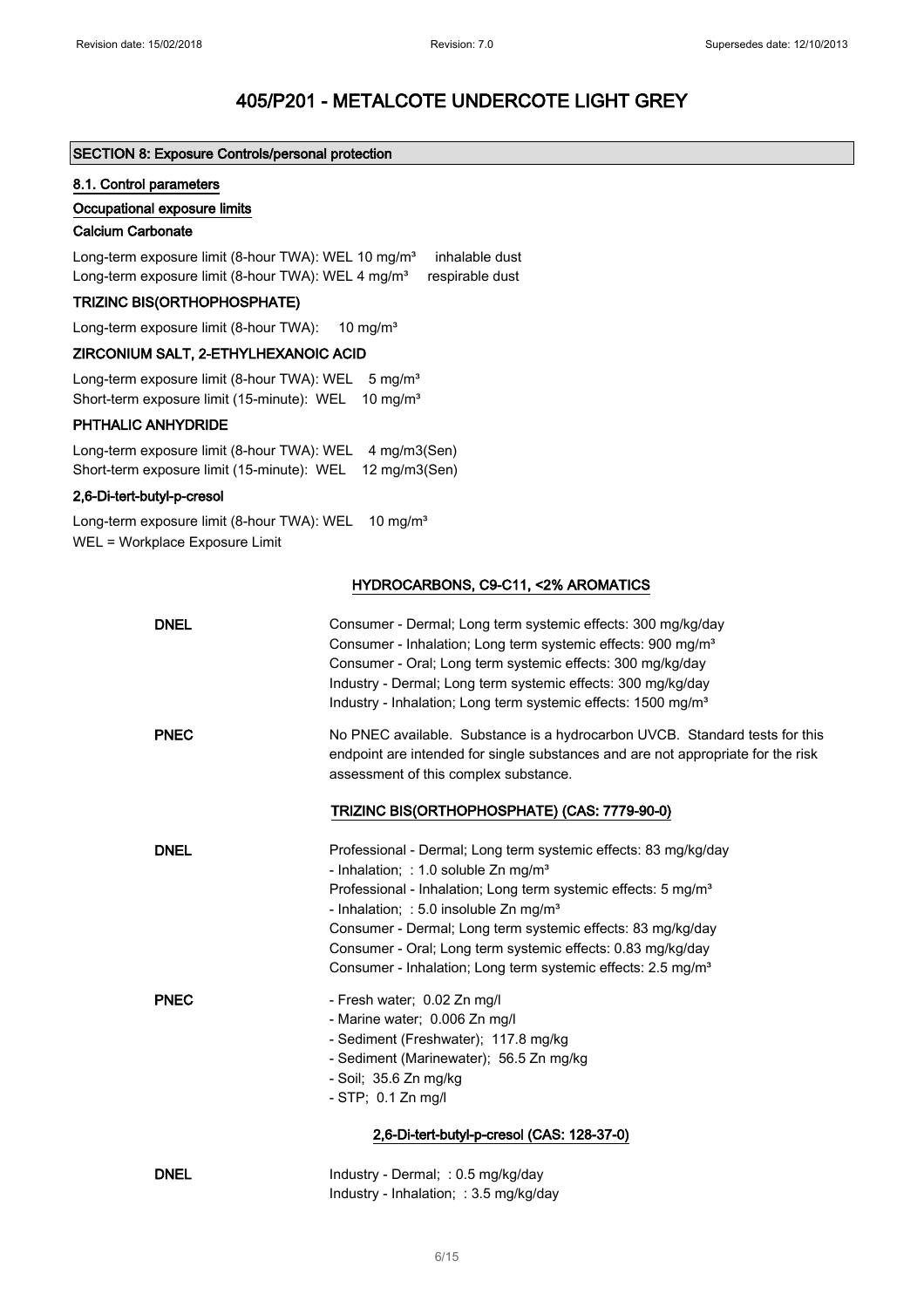### SECTION 8: Exposure Controls/personal protection

#### 8.1. Control parameters

#### Occupational exposure limits

### Calcium Carbonate

Long-term exposure limit (8-hour TWA): WEL 10 mg/m<sup>3</sup> inhalable dust Long-term exposure limit (8-hour TWA): WEL 4 mg/m<sup>3</sup> respirable dust

## TRIZINC BIS(ORTHOPHOSPHATE)

Long-term exposure limit (8-hour TWA): 10 mg/m<sup>3</sup>

#### ZIRCONIUM SALT, 2-ETHYLHEXANOIC ACID

Long-term exposure limit (8-hour TWA): WEL 5 mg/m<sup>3</sup> Short-term exposure limit (15-minute): WEL 10 mg/m<sup>3</sup>

#### PHTHALIC ANHYDRIDE

Long-term exposure limit (8-hour TWA): WEL 4 mg/m3(Sen) Short-term exposure limit (15-minute): WEL 12 mg/m3(Sen)

#### 2,6-Di-tert-butyl-p-cresol

Long-term exposure limit (8-hour TWA): WEL 10 mg/m<sup>3</sup> WEL = Workplace Exposure Limit

## HYDROCARBONS, C9-C11, <2% AROMATICS

| <b>DNEL</b> | Consumer - Dermal; Long term systemic effects: 300 mg/kg/day<br>Consumer - Inhalation; Long term systemic effects: 900 mg/m <sup>3</sup><br>Consumer - Oral; Long term systemic effects: 300 mg/kg/day<br>Industry - Dermal; Long term systemic effects: 300 mg/kg/day<br>Industry - Inhalation; Long term systemic effects: 1500 mg/m <sup>3</sup>                                                                                                                   |
|-------------|-----------------------------------------------------------------------------------------------------------------------------------------------------------------------------------------------------------------------------------------------------------------------------------------------------------------------------------------------------------------------------------------------------------------------------------------------------------------------|
| <b>PNEC</b> | No PNEC available. Substance is a hydrocarbon UVCB. Standard tests for this<br>endpoint are intended for single substances and are not appropriate for the risk<br>assessment of this complex substance.                                                                                                                                                                                                                                                              |
|             | TRIZINC BIS(ORTHOPHOSPHATE) (CAS: 7779-90-0)                                                                                                                                                                                                                                                                                                                                                                                                                          |
| <b>DNEL</b> | Professional - Dermal; Long term systemic effects: 83 mg/kg/day<br>- Inhalation; : 1.0 soluble $Zn$ mg/m <sup>3</sup><br>Professional - Inhalation; Long term systemic effects: 5 mg/m <sup>3</sup><br>- Inhalation; : 5.0 insoluble $Zn$ mg/m <sup>3</sup><br>Consumer - Dermal; Long term systemic effects: 83 mg/kg/day<br>Consumer - Oral; Long term systemic effects: 0.83 mg/kg/day<br>Consumer - Inhalation; Long term systemic effects: 2.5 mg/m <sup>3</sup> |
| <b>PNEC</b> | - Fresh water; 0.02 Zn mg/l<br>- Marine water; 0.006 Zn mg/l<br>- Sediment (Freshwater); 117.8 mg/kg<br>- Sediment (Marinewater); 56.5 Zn mg/kg<br>- Soil; 35.6 Zn mg/kg<br>- STP; 0.1 Zn mg/l                                                                                                                                                                                                                                                                        |
|             | 2,6-Di-tert-butyl-p-cresol (CAS: 128-37-0)                                                                                                                                                                                                                                                                                                                                                                                                                            |
| <b>DNEL</b> | Industry - Dermal; : 0.5 mg/kg/day<br>Industry - Inhalation; : 3.5 mg/kg/day                                                                                                                                                                                                                                                                                                                                                                                          |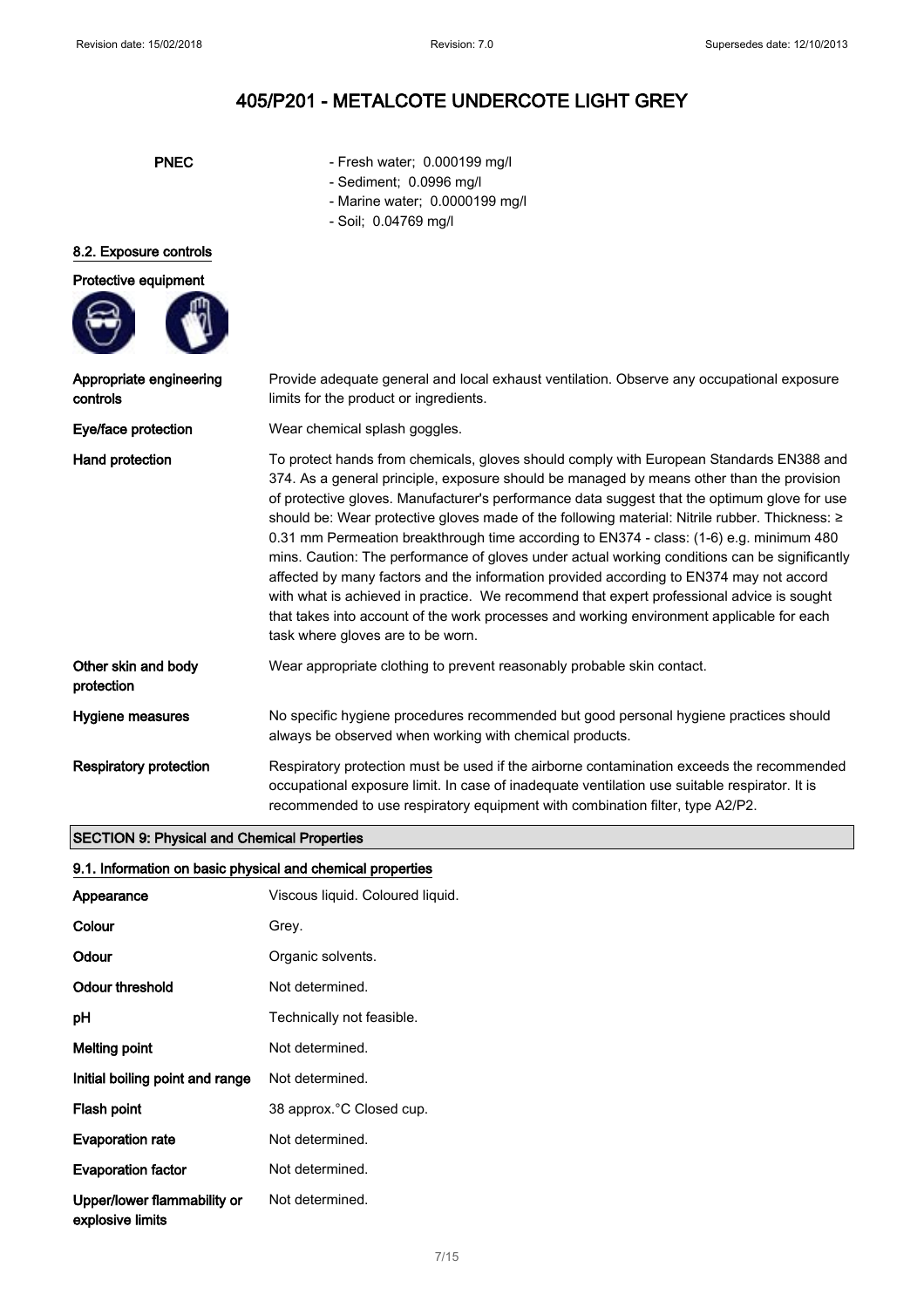- PNEC Fresh water; 0.000199 mg/l
	- Sediment; 0.0996 mg/l
	- Marine water; 0.0000199 mg/l
	- Soil; 0.04769 mg/l

### 8.2. Exposure controls

# Protective equipment



controls

Other protection

Appropriate engineering Provide adequate general and local exhaust ventilation. Observe any occupational exposure limits for the product or ingredients.

Eye/face protection Wear chemical splash goggles.

Hand protection To protect hands from chemicals, gloves should comply with European Standards EN388 and 374. As a general principle, exposure should be managed by means other than the provision of protective gloves. Manufacturer's performance data suggest that the optimum glove for use should be: Wear protective gloves made of the following material: Nitrile rubber. Thickness: ≥ 0.31 mm Permeation breakthrough time according to EN374 - class: (1-6) e.g. minimum 480 mins. Caution: The performance of gloves under actual working conditions can be significantly affected by many factors and the information provided according to EN374 may not accord with what is achieved in practice. We recommend that expert professional advice is sought that takes into account of the work processes and working environment applicable for each task where gloves are to be worn.

| r skin and body | Wear appropriate clothing to prevent reasonably probable skin contact. |
|-----------------|------------------------------------------------------------------------|
|-----------------|------------------------------------------------------------------------|

Hygiene measures No specific hygiene procedures recommended but good personal hygiene practices should always be observed when working with chemical products.

Respiratory protection Respiratory protection must be used if the airborne contamination exceeds the recommended occupational exposure limit. In case of inadequate ventilation use suitable respirator. It is recommended to use respiratory equipment with combination filter, type A2/Р2.

#### SECTION 9: Physical and Chemical Properties

### 9.1. Information on basic physical and chemical properties

| Appearance                                      | Viscous liquid. Coloured liquid. |
|-------------------------------------------------|----------------------------------|
| Colour                                          | Grey.                            |
| Odour                                           | Organic solvents.                |
| Odour threshold                                 | Not determined.                  |
| рH                                              | Technically not feasible.        |
| Melting point                                   | Not determined.                  |
| Initial boiling point and range                 | Not determined.                  |
| Flash point                                     | 38 approx. °C Closed cup.        |
| <b>Evaporation rate</b>                         | Not determined.                  |
| <b>Evaporation factor</b>                       | Not determined.                  |
| Upper/lower flammability or<br>explosive limits | Not determined.                  |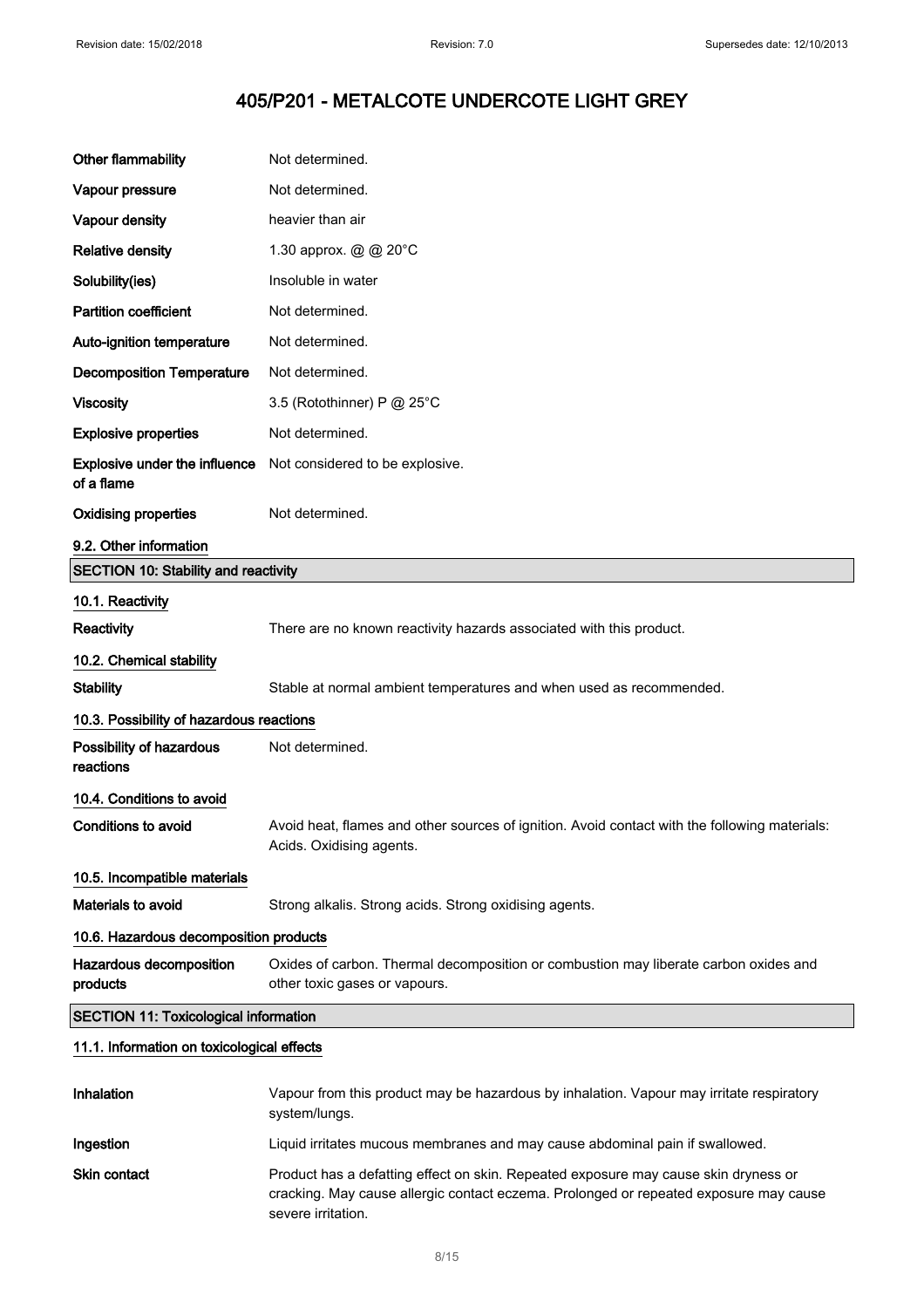| Other flammability                           | Not determined.                                                                                                                                                                                    |
|----------------------------------------------|----------------------------------------------------------------------------------------------------------------------------------------------------------------------------------------------------|
| Vapour pressure                              | Not determined.                                                                                                                                                                                    |
| Vapour density                               | heavier than air                                                                                                                                                                                   |
| <b>Relative density</b>                      | 1.30 approx. @ @ 20°C                                                                                                                                                                              |
| Solubility(ies)                              | Insoluble in water                                                                                                                                                                                 |
| <b>Partition coefficient</b>                 | Not determined.                                                                                                                                                                                    |
| Auto-ignition temperature                    | Not determined.                                                                                                                                                                                    |
| <b>Decomposition Temperature</b>             | Not determined.                                                                                                                                                                                    |
| <b>Viscosity</b>                             | 3.5 (Rotothinner) P @ 25°C                                                                                                                                                                         |
| <b>Explosive properties</b>                  | Not determined.                                                                                                                                                                                    |
| Explosive under the influence<br>of a flame  | Not considered to be explosive.                                                                                                                                                                    |
| <b>Oxidising properties</b>                  | Not determined.                                                                                                                                                                                    |
| 9.2. Other information                       |                                                                                                                                                                                                    |
| <b>SECTION 10: Stability and reactivity</b>  |                                                                                                                                                                                                    |
| 10.1. Reactivity                             |                                                                                                                                                                                                    |
| <b>Reactivity</b>                            | There are no known reactivity hazards associated with this product.                                                                                                                                |
| 10.2. Chemical stability                     |                                                                                                                                                                                                    |
| <b>Stability</b>                             | Stable at normal ambient temperatures and when used as recommended.                                                                                                                                |
| 10.3. Possibility of hazardous reactions     |                                                                                                                                                                                                    |
| Possibility of hazardous<br>reactions        | Not determined.                                                                                                                                                                                    |
| 10.4. Conditions to avoid                    |                                                                                                                                                                                                    |
| <b>Conditions to avoid</b>                   | Avoid heat, flames and other sources of ignition. Avoid contact with the following materials:<br>Acids. Oxidising agents.                                                                          |
| 10.5. Incompatible materials                 |                                                                                                                                                                                                    |
| <b>Materials to avoid</b>                    | Strong alkalis. Strong acids. Strong oxidising agents.                                                                                                                                             |
| 10.6. Hazardous decomposition products       |                                                                                                                                                                                                    |
| Hazardous decomposition<br>products          | Oxides of carbon. Thermal decomposition or combustion may liberate carbon oxides and<br>other toxic gases or vapours.                                                                              |
| <b>SECTION 11: Toxicological information</b> |                                                                                                                                                                                                    |
| 11.1. Information on toxicological effects   |                                                                                                                                                                                                    |
| Inhalation                                   | Vapour from this product may be hazardous by inhalation. Vapour may irritate respiratory<br>system/lungs.                                                                                          |
| Ingestion                                    | Liquid irritates mucous membranes and may cause abdominal pain if swallowed.                                                                                                                       |
| Skin contact                                 | Product has a defatting effect on skin. Repeated exposure may cause skin dryness or<br>cracking. May cause allergic contact eczema. Prolonged or repeated exposure may cause<br>severe irritation. |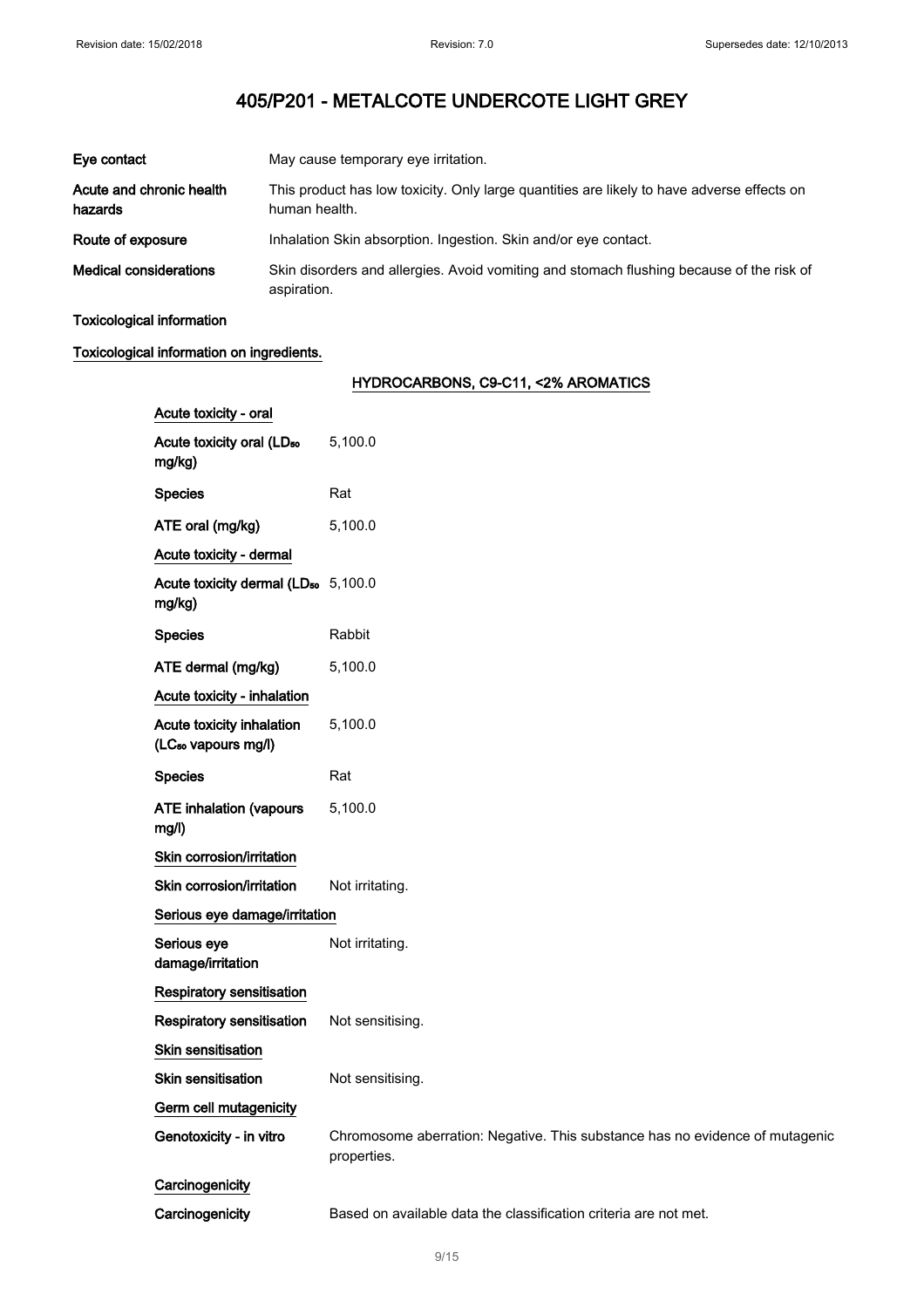| Eye contact                         | May cause temporary eye irritation.                                                                         |
|-------------------------------------|-------------------------------------------------------------------------------------------------------------|
| Acute and chronic health<br>hazards | This product has low toxicity. Only large quantities are likely to have adverse effects on<br>human health. |
| Route of exposure                   | Inhalation Skin absorption. Ingestion. Skin and/or eye contact.                                             |
| <b>Medical considerations</b>       | Skin disorders and allergies. Avoid vomiting and stomach flushing because of the risk of<br>aspiration.     |

Toxicological information

## Toxicological information on ingredients.

## HYDROCARBONS, C9-C11, <2% AROMATICS

| Acute toxicity - oral                                        |                                                                                             |
|--------------------------------------------------------------|---------------------------------------------------------------------------------------------|
| Acute toxicity oral (LD <sub>50</sub><br>mg/kg)              | 5,100.0                                                                                     |
| <b>Species</b>                                               | Rat                                                                                         |
| ATE oral (mg/kg)                                             | 5,100.0                                                                                     |
| Acute toxicity - dermal                                      |                                                                                             |
| Acute toxicity dermal (LD <sub>50</sub> 5,100.0<br>mg/kg)    |                                                                                             |
| <b>Species</b>                                               | Rabbit                                                                                      |
| ATE dermal (mg/kg)                                           | 5,100.0                                                                                     |
| Acute toxicity - inhalation                                  |                                                                                             |
| Acute toxicity inhalation<br>(LC <sub>50</sub> vapours mg/l) | 5,100.0                                                                                     |
| <b>Species</b>                                               | Rat                                                                                         |
| <b>ATE inhalation (vapours</b><br>mg/l)                      | 5,100.0                                                                                     |
| Skin corrosion/irritation                                    |                                                                                             |
| Skin corrosion/irritation                                    | Not irritating.                                                                             |
| Serious eye damage/irritation                                |                                                                                             |
| Serious eye<br>damage/irritation                             | Not irritating.                                                                             |
| Respiratory sensitisation                                    |                                                                                             |
| <b>Respiratory sensitisation</b>                             | Not sensitising.                                                                            |
| <b>Skin sensitisation</b>                                    |                                                                                             |
| <b>Skin sensitisation</b>                                    | Not sensitising.                                                                            |
| Germ cell mutagenicity                                       |                                                                                             |
| Genotoxicity - in vitro                                      | Chromosome aberration: Negative. This substance has no evidence of mutagenic<br>properties. |
| Carcinogenicity                                              |                                                                                             |
| Carcinogenicity                                              | Based on available data the classification criteria are not met.                            |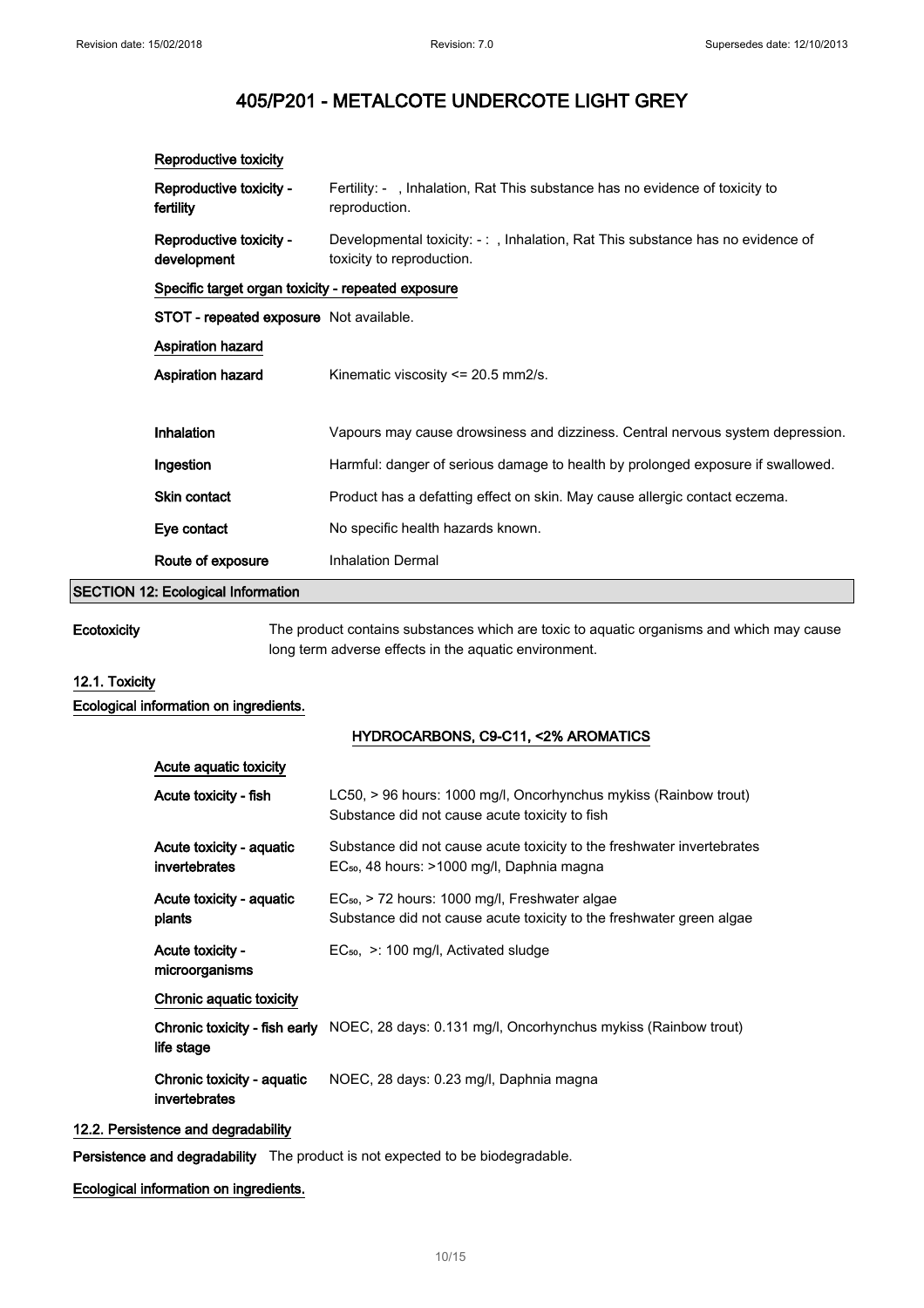| Reproductive toxicity                              |                                                                                                             |  |
|----------------------------------------------------|-------------------------------------------------------------------------------------------------------------|--|
| Reproductive toxicity -<br>fertility               | Fertility: - , Inhalation, Rat This substance has no evidence of toxicity to<br>reproduction.               |  |
| Reproductive toxicity -<br>development             | Developmental toxicity: -: , Inhalation, Rat This substance has no evidence of<br>toxicity to reproduction. |  |
| Specific target organ toxicity - repeated exposure |                                                                                                             |  |
| <b>STOT - repeated exposure</b> Not available.     |                                                                                                             |  |
| <b>Aspiration hazard</b>                           |                                                                                                             |  |
| Aspiration hazard                                  | Kinematic viscosity $\leq$ 20.5 mm2/s.                                                                      |  |
|                                                    |                                                                                                             |  |
| Inhalation                                         | Vapours may cause drowsiness and dizziness. Central nervous system depression.                              |  |
| Ingestion                                          | Harmful: danger of serious damage to health by prolonged exposure if swallowed.                             |  |
| Skin contact                                       | Product has a defatting effect on skin. May cause allergic contact eczema.                                  |  |
| Eye contact                                        | No specific health hazards known.                                                                           |  |
| Route of exposure                                  | <b>Inhalation Dermal</b>                                                                                    |  |
| .                                                  |                                                                                                             |  |

# SECTION 12: Ecological Information

Ecotoxicity The product contains substances which are toxic to aquatic organisms and which may cause long term adverse effects in the aquatic environment.

## 12.1. Toxicity

Ecological information on ingredients.

#### HYDROCARBONS, C9-C11, <2% AROMATICS

| Acute aguatic toxicity                      |                                                                                                                                    |
|---------------------------------------------|------------------------------------------------------------------------------------------------------------------------------------|
| Acute toxicity - fish                       | LC50, > 96 hours: 1000 mg/l, Oncorhynchus mykiss (Rainbow trout)<br>Substance did not cause acute toxicity to fish                 |
| Acute toxicity - aquatic<br>invertebrates   | Substance did not cause acute toxicity to the freshwater invertebrates<br>EC <sub>50</sub> , 48 hours: >1000 mg/l, Daphnia magna   |
| Acute toxicity - aquatic<br>plants          | EC <sub>50</sub> , > 72 hours: 1000 mg/l, Freshwater algae<br>Substance did not cause acute toxicity to the freshwater green algae |
| Acute toxicity -<br>microorganisms          | $EC_{50}$ , $\geq$ : 100 mg/l, Activated sludge                                                                                    |
| Chronic aquatic toxicity                    |                                                                                                                                    |
| life stage                                  | <b>Chronic toxicity - fish early</b> NOEC, 28 days: 0.131 mg/l, Oncorhynchus mykiss (Rainbow trout)                                |
| Chronic toxicity - aquatic<br>invertebrates | NOEC, 28 days: 0.23 mg/l, Daphnia magna                                                                                            |

## 12.2. Persistence and degradability

Persistence and degradability The product is not expected to be biodegradable.

## Ecological information on ingredients.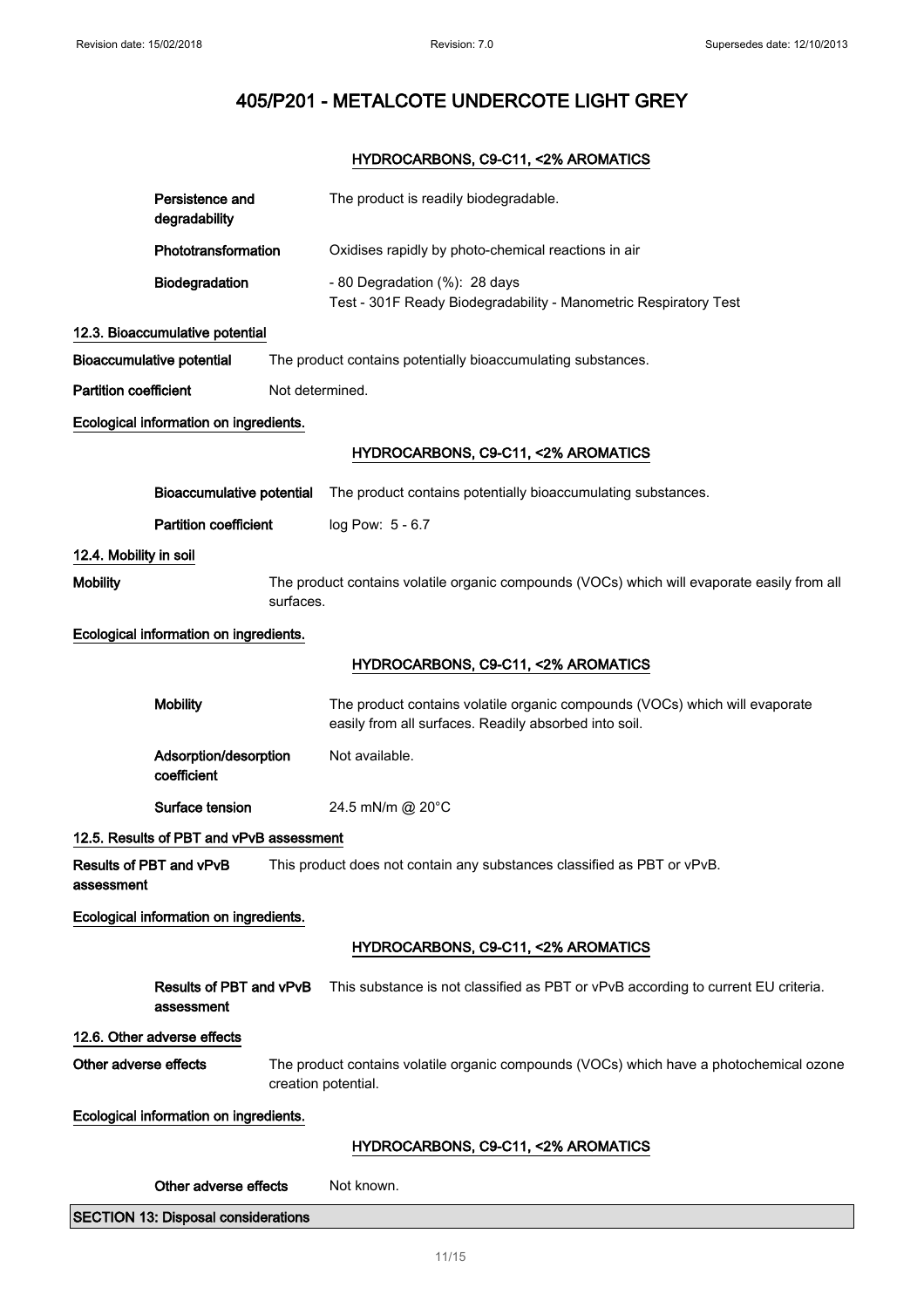## HYDROCARBONS, C9-C11, <2% AROMATICS

|                                        | Persistence and<br>degradability             | The product is readily biodegradable.                                                                                                |
|----------------------------------------|----------------------------------------------|--------------------------------------------------------------------------------------------------------------------------------------|
|                                        | Phototransformation                          | Oxidises rapidly by photo-chemical reactions in air                                                                                  |
|                                        | Biodegradation                               | - 80 Degradation (%): 28 days<br>Test - 301F Ready Biodegradability - Manometric Respiratory Test                                    |
|                                        | 12.3. Bioaccumulative potential              |                                                                                                                                      |
|                                        | <b>Bioaccumulative potential</b>             | The product contains potentially bioaccumulating substances.                                                                         |
| <b>Partition coefficient</b>           |                                              | Not determined.                                                                                                                      |
|                                        | Ecological information on ingredients.       |                                                                                                                                      |
|                                        |                                              | HYDROCARBONS, C9-C11, <2% AROMATICS                                                                                                  |
|                                        | <b>Bioaccumulative potential</b>             | The product contains potentially bioaccumulating substances.                                                                         |
|                                        | <b>Partition coefficient</b>                 | log Pow: 5 - 6.7                                                                                                                     |
| 12.4. Mobility in soil                 |                                              |                                                                                                                                      |
| <b>Mobility</b>                        | surfaces.                                    | The product contains volatile organic compounds (VOCs) which will evaporate easily from all                                          |
|                                        | Ecological information on ingredients.       |                                                                                                                                      |
|                                        |                                              | HYDROCARBONS, C9-C11, <2% AROMATICS                                                                                                  |
|                                        | <b>Mobility</b>                              | The product contains volatile organic compounds (VOCs) which will evaporate<br>easily from all surfaces. Readily absorbed into soil. |
|                                        | Adsorption/desorption<br>coefficient         | Not available.                                                                                                                       |
|                                        | Surface tension                              | 24.5 mN/m @ 20°C                                                                                                                     |
|                                        | 12.5. Results of PBT and vPvB assessment     |                                                                                                                                      |
| assessment                             | Results of PBT and vPvB                      | This product does not contain any substances classified as PBT or vPvB.                                                              |
|                                        | Ecological information on ingredients.       |                                                                                                                                      |
|                                        |                                              | HYDROCARBONS, C9-C11, <2% AROMATICS                                                                                                  |
|                                        | <b>Results of PBT and vPvB</b><br>assessment | This substance is not classified as PBT or vPvB according to current EU criteria.                                                    |
|                                        | 12.6. Other adverse effects                  |                                                                                                                                      |
| Other adverse effects                  |                                              | The product contains volatile organic compounds (VOCs) which have a photochemical ozone<br>creation potential.                       |
| Ecological information on ingredients. |                                              |                                                                                                                                      |
|                                        |                                              | HYDROCARBONS, C9-C11, <2% AROMATICS                                                                                                  |
|                                        | Other adverse effects                        | Not known.                                                                                                                           |
|                                        | <b>SECTION 13: Disposal considerations</b>   |                                                                                                                                      |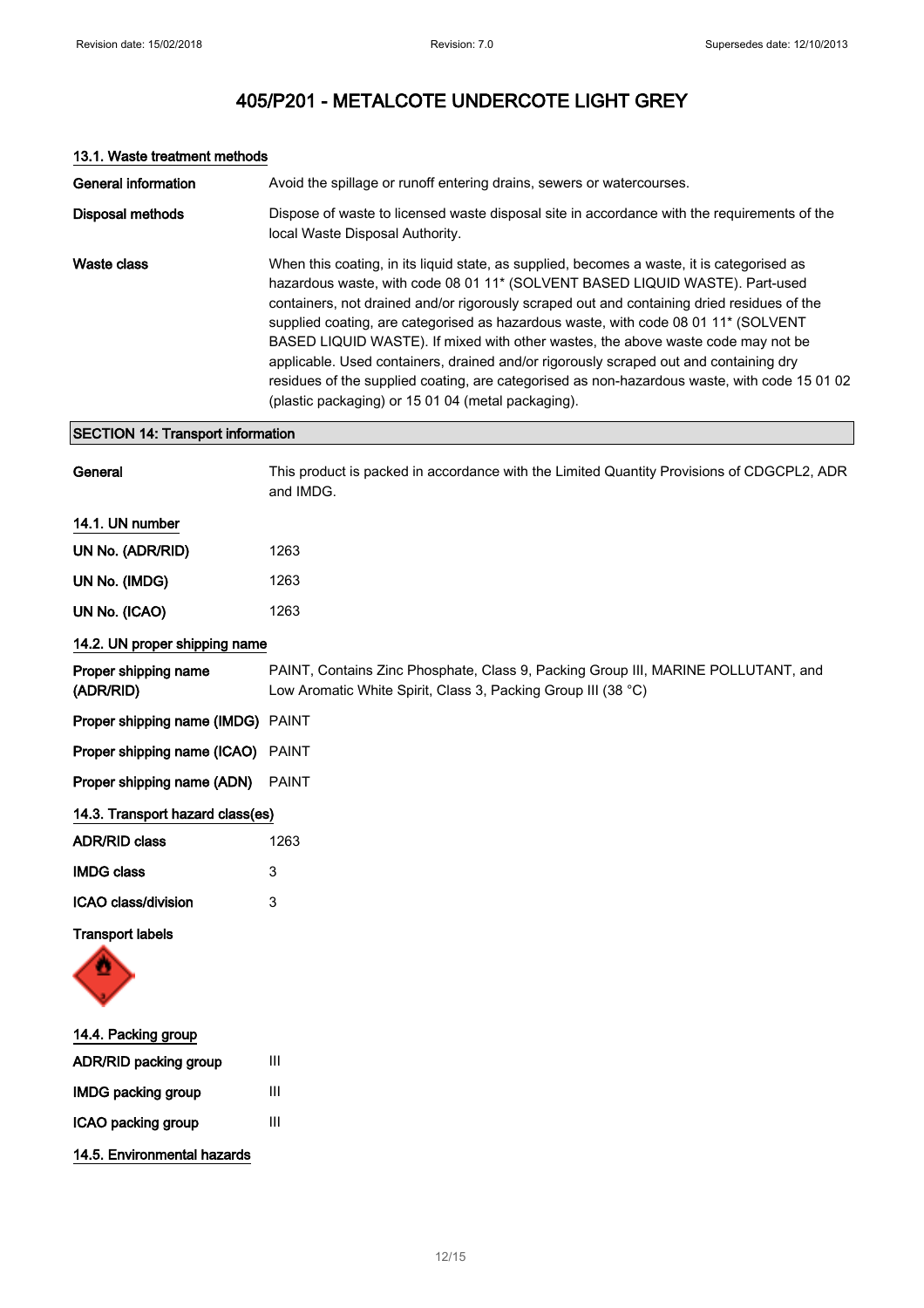| <b>General information</b>               | Avoid the spillage or runoff entering drains, sewers or watercourses.                                                                                                                                                                                                                                                                                                                                                                                                                                                                                                                                                                                                                             |
|------------------------------------------|---------------------------------------------------------------------------------------------------------------------------------------------------------------------------------------------------------------------------------------------------------------------------------------------------------------------------------------------------------------------------------------------------------------------------------------------------------------------------------------------------------------------------------------------------------------------------------------------------------------------------------------------------------------------------------------------------|
| <b>Disposal methods</b>                  | Dispose of waste to licensed waste disposal site in accordance with the requirements of the<br>local Waste Disposal Authority.                                                                                                                                                                                                                                                                                                                                                                                                                                                                                                                                                                    |
| <b>Waste class</b>                       | When this coating, in its liquid state, as supplied, becomes a waste, it is categorised as<br>hazardous waste, with code 08 01 11* (SOLVENT BASED LIQUID WASTE). Part-used<br>containers, not drained and/or rigorously scraped out and containing dried residues of the<br>supplied coating, are categorised as hazardous waste, with code 08 01 11* (SOLVENT<br>BASED LIQUID WASTE). If mixed with other wastes, the above waste code may not be<br>applicable. Used containers, drained and/or rigorously scraped out and containing dry<br>residues of the supplied coating, are categorised as non-hazardous waste, with code 15 01 02<br>(plastic packaging) or 15 01 04 (metal packaging). |
| <b>SECTION 14: Transport information</b> |                                                                                                                                                                                                                                                                                                                                                                                                                                                                                                                                                                                                                                                                                                   |
| General                                  | This product is packed in accordance with the Limited Quantity Provisions of CDGCPL2, ADR<br>and IMDG.                                                                                                                                                                                                                                                                                                                                                                                                                                                                                                                                                                                            |
| 14.1. UN number                          |                                                                                                                                                                                                                                                                                                                                                                                                                                                                                                                                                                                                                                                                                                   |
| UN No. (ADR/RID)                         | 1263                                                                                                                                                                                                                                                                                                                                                                                                                                                                                                                                                                                                                                                                                              |
| UN No. (IMDG)                            | 1263                                                                                                                                                                                                                                                                                                                                                                                                                                                                                                                                                                                                                                                                                              |
| UN No. (ICAO)                            | 1263                                                                                                                                                                                                                                                                                                                                                                                                                                                                                                                                                                                                                                                                                              |
| 14.2. UN proper shipping name            |                                                                                                                                                                                                                                                                                                                                                                                                                                                                                                                                                                                                                                                                                                   |
| Proper shipping name<br>(ADR/RID)        | PAINT, Contains Zinc Phosphate, Class 9, Packing Group III, MARINE POLLUTANT, and<br>Low Aromatic White Spirit, Class 3, Packing Group III (38 °C)                                                                                                                                                                                                                                                                                                                                                                                                                                                                                                                                                |
| Proper shipping name (IMDG)              | <b>PAINT</b>                                                                                                                                                                                                                                                                                                                                                                                                                                                                                                                                                                                                                                                                                      |
| Proper shipping name (ICAO)              | <b>PAINT</b>                                                                                                                                                                                                                                                                                                                                                                                                                                                                                                                                                                                                                                                                                      |
| Proper shipping name (ADN)               | <b>PAINT</b>                                                                                                                                                                                                                                                                                                                                                                                                                                                                                                                                                                                                                                                                                      |
| 14.3. Transport hazard class(es)         |                                                                                                                                                                                                                                                                                                                                                                                                                                                                                                                                                                                                                                                                                                   |
| <b>ADR/RID class</b>                     | 1263                                                                                                                                                                                                                                                                                                                                                                                                                                                                                                                                                                                                                                                                                              |
| <b>IMDG class</b>                        | 3                                                                                                                                                                                                                                                                                                                                                                                                                                                                                                                                                                                                                                                                                                 |
| ICAO class/division                      | 3                                                                                                                                                                                                                                                                                                                                                                                                                                                                                                                                                                                                                                                                                                 |
| <b>Transport labels</b>                  |                                                                                                                                                                                                                                                                                                                                                                                                                                                                                                                                                                                                                                                                                                   |
| 14.4. Packing group                      |                                                                                                                                                                                                                                                                                                                                                                                                                                                                                                                                                                                                                                                                                                   |
| ADR/RID packing group                    | Ш                                                                                                                                                                                                                                                                                                                                                                                                                                                                                                                                                                                                                                                                                                 |
| <b>IMDG packing group</b>                | Ш                                                                                                                                                                                                                                                                                                                                                                                                                                                                                                                                                                                                                                                                                                 |

## 13.1. Waste treatment methods

ICAO packing group III

14.5. Environmental hazards

12/ 15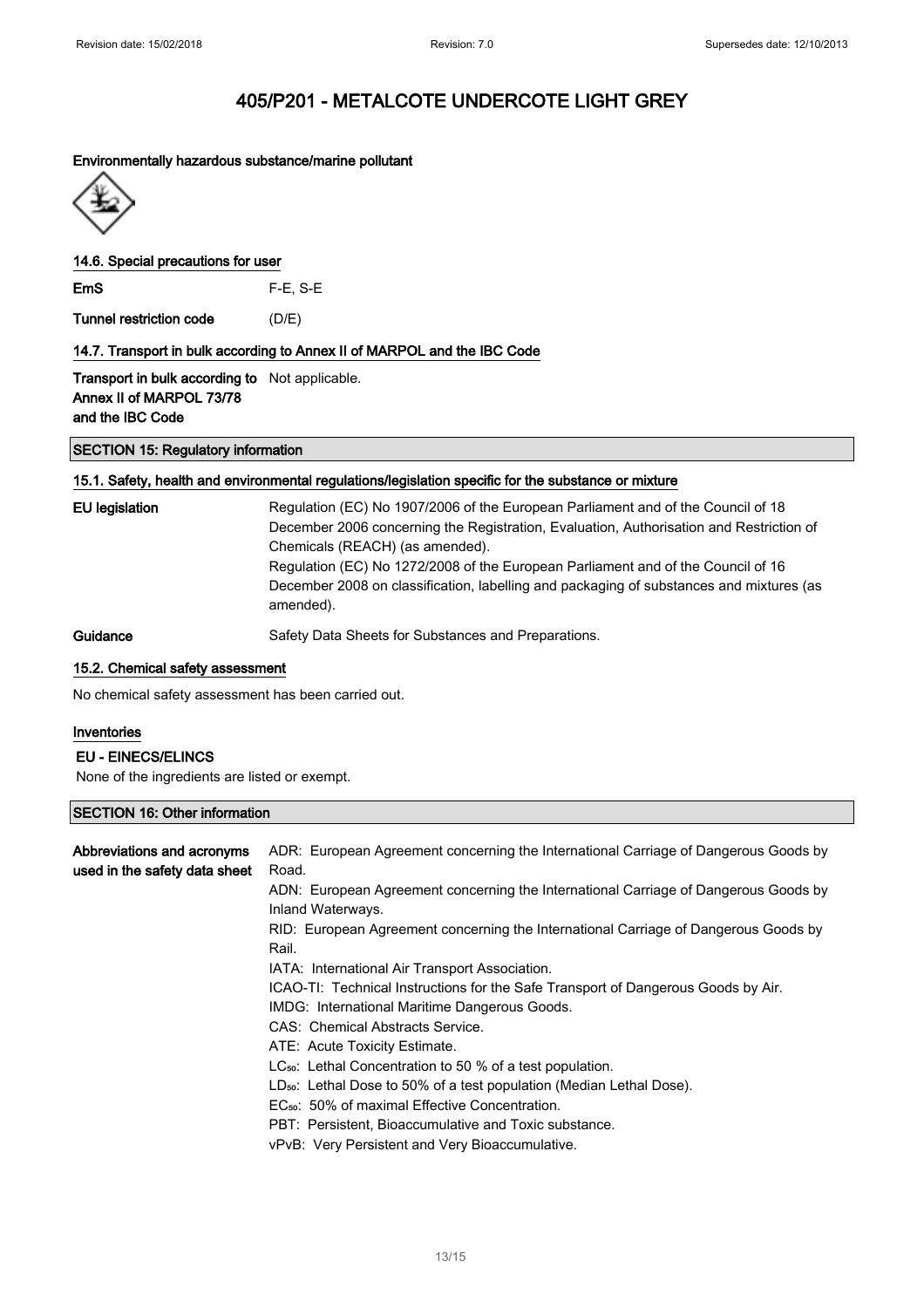#### Environmentally hazardous substance/marine pollutant



#### 14.6. Special precautions for user

EmS F-E, S-E

Tunnel restriction code (D/E)

#### 14.7. Transport in bulk according to Annex II of MARPOL and the IBC Code

Transport in bulk according to Not applicable. Annex II of MARPOL 73/78 and the IBC Code

#### SECTION 15: Regulatory information

#### 15.1. Safety, health and environmental regulations/legislation specific for the substance or mixture

| EU legislation | Regulation (EC) No 1907/2006 of the European Parliament and of the Council of 18<br>December 2006 concerning the Registration, Evaluation, Authorisation and Restriction of<br>Chemicals (REACH) (as amended).<br>Regulation (EC) No 1272/2008 of the European Parliament and of the Council of 16<br>December 2008 on classification, labelling and packaging of substances and mixtures (as<br>amended). |
|----------------|------------------------------------------------------------------------------------------------------------------------------------------------------------------------------------------------------------------------------------------------------------------------------------------------------------------------------------------------------------------------------------------------------------|
| Guidance       | Safety Data Sheets for Substances and Preparations.                                                                                                                                                                                                                                                                                                                                                        |

### 15.2. Chemical safety assessment

No chemical safety assessment has been carried out.

## Inventories

## EU - EINECS/ELINCS

None of the ingredients are listed or exempt.

## SECTION 16: Other information

| Abbreviations and acronyms<br>used in the safety data sheet | ADR: European Agreement concerning the International Carriage of Dangerous Goods by<br>Road.             |
|-------------------------------------------------------------|----------------------------------------------------------------------------------------------------------|
|                                                             | ADN: European Agreement concerning the International Carriage of Dangerous Goods by<br>Inland Waterways. |
|                                                             | RID: European Agreement concerning the International Carriage of Dangerous Goods by<br>Rail.             |
|                                                             | IATA: International Air Transport Association.                                                           |
|                                                             | ICAO-TI: Technical Instructions for the Safe Transport of Dangerous Goods by Air.                        |
|                                                             | IMDG: International Maritime Dangerous Goods.                                                            |
|                                                             | CAS: Chemical Abstracts Service.                                                                         |
|                                                             | ATE: Acute Toxicity Estimate.                                                                            |
|                                                             | $LC_{50}$ : Lethal Concentration to 50 % of a test population.                                           |
|                                                             | LD <sub>50</sub> : Lethal Dose to 50% of a test population (Median Lethal Dose).                         |
|                                                             | EC <sub>50</sub> : 50% of maximal Effective Concentration.                                               |
|                                                             | PBT: Persistent, Bioaccumulative and Toxic substance.                                                    |
|                                                             | vPvB: Very Persistent and Very Bioaccumulative.                                                          |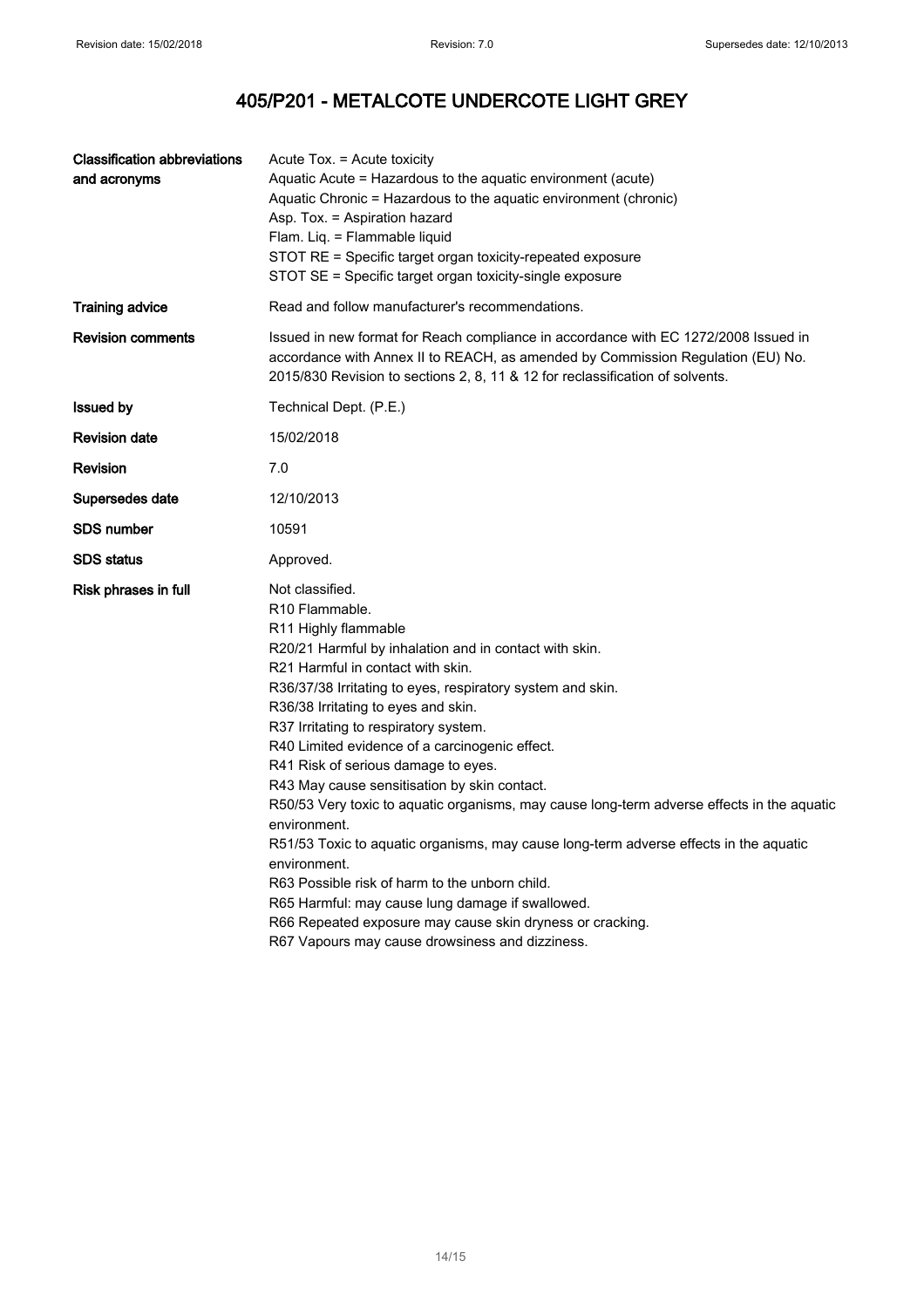| <b>Classification abbreviations</b><br>and acronyms | Acute Tox. = Acute toxicity<br>Aquatic Acute = Hazardous to the aquatic environment (acute)<br>Aquatic Chronic = Hazardous to the aquatic environment (chronic)<br>Asp. Tox. = Aspiration hazard<br>Flam. Liq. = Flammable liquid<br>STOT RE = Specific target organ toxicity-repeated exposure<br>STOT SE = Specific target organ toxicity-single exposure                                                                                                                                                                                                                                                                                                                                                                                                                                                                                                                                              |
|-----------------------------------------------------|----------------------------------------------------------------------------------------------------------------------------------------------------------------------------------------------------------------------------------------------------------------------------------------------------------------------------------------------------------------------------------------------------------------------------------------------------------------------------------------------------------------------------------------------------------------------------------------------------------------------------------------------------------------------------------------------------------------------------------------------------------------------------------------------------------------------------------------------------------------------------------------------------------|
| <b>Training advice</b>                              | Read and follow manufacturer's recommendations.                                                                                                                                                                                                                                                                                                                                                                                                                                                                                                                                                                                                                                                                                                                                                                                                                                                          |
| <b>Revision comments</b>                            | Issued in new format for Reach compliance in accordance with EC 1272/2008 Issued in<br>accordance with Annex II to REACH, as amended by Commission Regulation (EU) No.<br>2015/830 Revision to sections 2, 8, 11 & 12 for reclassification of solvents.                                                                                                                                                                                                                                                                                                                                                                                                                                                                                                                                                                                                                                                  |
| <b>Issued by</b>                                    | Technical Dept. (P.E.)                                                                                                                                                                                                                                                                                                                                                                                                                                                                                                                                                                                                                                                                                                                                                                                                                                                                                   |
| <b>Revision date</b>                                | 15/02/2018                                                                                                                                                                                                                                                                                                                                                                                                                                                                                                                                                                                                                                                                                                                                                                                                                                                                                               |
| <b>Revision</b>                                     | 7.0                                                                                                                                                                                                                                                                                                                                                                                                                                                                                                                                                                                                                                                                                                                                                                                                                                                                                                      |
| Supersedes date                                     | 12/10/2013                                                                                                                                                                                                                                                                                                                                                                                                                                                                                                                                                                                                                                                                                                                                                                                                                                                                                               |
| <b>SDS number</b>                                   | 10591                                                                                                                                                                                                                                                                                                                                                                                                                                                                                                                                                                                                                                                                                                                                                                                                                                                                                                    |
| <b>SDS</b> status                                   | Approved.                                                                                                                                                                                                                                                                                                                                                                                                                                                                                                                                                                                                                                                                                                                                                                                                                                                                                                |
| Risk phrases in full                                | Not classified.<br>R10 Flammable.<br>R <sub>11</sub> Highly flammable<br>R20/21 Harmful by inhalation and in contact with skin.<br>R21 Harmful in contact with skin.<br>R36/37/38 Irritating to eyes, respiratory system and skin.<br>R36/38 Irritating to eyes and skin.<br>R37 Irritating to respiratory system.<br>R40 Limited evidence of a carcinogenic effect.<br>R41 Risk of serious damage to eyes.<br>R43 May cause sensitisation by skin contact.<br>R50/53 Very toxic to aquatic organisms, may cause long-term adverse effects in the aquatic<br>environment.<br>R51/53 Toxic to aquatic organisms, may cause long-term adverse effects in the aquatic<br>environment.<br>R63 Possible risk of harm to the unborn child.<br>R65 Harmful: may cause lung damage if swallowed.<br>R66 Repeated exposure may cause skin dryness or cracking.<br>R67 Vapours may cause drowsiness and dizziness. |